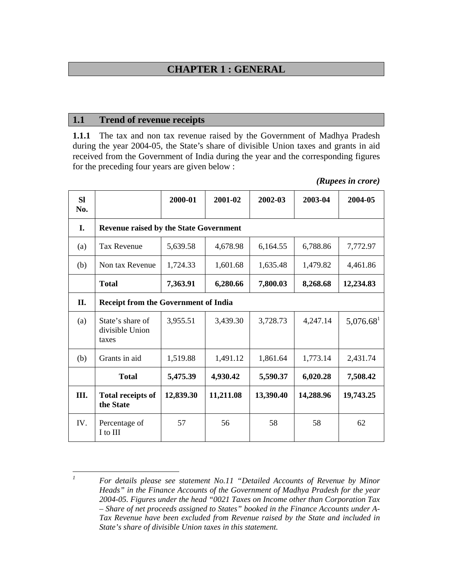# **CHAPTER 1 : GENERAL**

### **1.1 Trend of revenue receipts**

**1.1.1** The tax and non tax revenue raised by the Government of Madhya Pradesh during the year 2004-05, the State's share of divisible Union taxes and grants in aid received from the Government of India during the year and the corresponding figures for the preceding four years are given below :

| <b>SI</b><br>No. |                                               | 2000-01   | 2001-02   | 2002-03   | 2003-04   | 2004-05               |  |
|------------------|-----------------------------------------------|-----------|-----------|-----------|-----------|-----------------------|--|
| I.               | <b>Revenue raised by the State Government</b> |           |           |           |           |                       |  |
| (a)              | <b>Tax Revenue</b>                            | 5,639.58  | 4,678.98  | 6,164.55  | 6,788.86  | 7,772.97              |  |
| (b)              | Non tax Revenue                               | 1,724.33  | 1,601.68  | 1,635.48  | 1,479.82  | 4,461.86              |  |
|                  | <b>Total</b>                                  | 7,363.91  | 6,280.66  | 7,800.03  | 8,268.68  | 12,234.83             |  |
| П.               | <b>Receipt from the Government of India</b>   |           |           |           |           |                       |  |
| (a)              | State's share of<br>divisible Union<br>taxes  | 3,955.51  | 3,439.30  | 3,728.73  | 4,247.14  | 5,076.68 <sup>1</sup> |  |
| (b)              | Grants in aid                                 | 1,519.88  | 1,491.12  | 1,861.64  | 1,773.14  | 2,431.74              |  |
|                  | <b>Total</b>                                  | 5,475.39  | 4,930.42  | 5,590.37  | 6,020.28  | 7,508.42              |  |
| Ш.               | <b>Total receipts of</b><br>the State         | 12,839.30 | 11,211.08 | 13,390.40 | 14,288.96 | 19,743.25             |  |
| IV.              | Percentage of<br>I to III                     | 57        | 56        | 58        | 58        | 62                    |  |

 *1 For details please see statement No.11 "Detailed Accounts of Revenue by Minor Heads" in the Finance Accounts of the Government of Madhya Pradesh for the year 2004-05. Figures under the head "0021 Taxes on Income other than Corporation Tax – Share of net proceeds assigned to States" booked in the Finance Accounts under A-Tax Revenue have been excluded from Revenue raised by the State and included in State's share of divisible Union taxes in this statement.*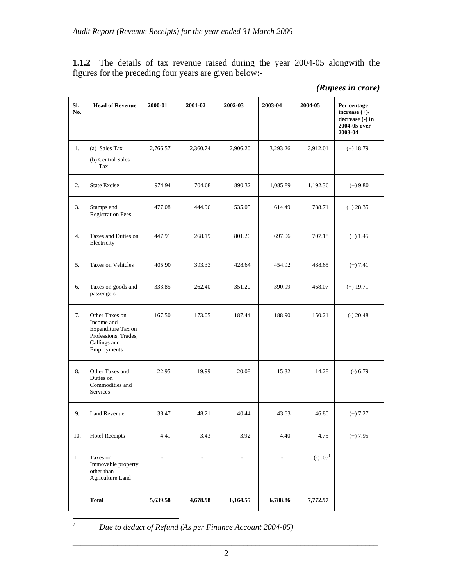**1.1.2** The details of tax revenue raised during the year 2004-05 alongwith the figures for the preceding four years are given below:-

\_\_\_\_\_\_\_\_\_\_\_\_\_\_\_\_\_\_\_\_\_\_\_\_\_\_\_\_\_\_\_\_\_\_\_\_\_\_\_\_\_\_\_\_\_\_\_\_\_\_\_\_\_\_\_\_\_\_\_\_\_\_\_\_\_\_\_\_\_\_\_\_\_\_\_

| Sl.<br>No. | <b>Head of Revenue</b>                                                                                    | 2000-01  | 2001-02  | 2002-03  | 2003-04  | 2004-05    | Per centage<br>increase $(+)/$<br>decrease (-) in<br>2004-05 over<br>2003-04 |
|------------|-----------------------------------------------------------------------------------------------------------|----------|----------|----------|----------|------------|------------------------------------------------------------------------------|
| 1.         | (a) Sales Tax<br>(b) Central Sales<br>Tax                                                                 | 2,766.57 | 2,360.74 | 2,906.20 | 3,293.26 | 3,912.01   | $(+)$ 18.79                                                                  |
| 2.         | <b>State Excise</b>                                                                                       | 974.94   | 704.68   | 890.32   | 1,085.89 | 1,192.36   | $(+)$ 9.80                                                                   |
| 3.         | Stamps and<br><b>Registration Fees</b>                                                                    | 477.08   | 444.96   | 535.05   | 614.49   | 788.71     | $(+) 28.35$                                                                  |
| 4.         | Taxes and Duties on<br>Electricity                                                                        | 447.91   | 268.19   | 801.26   | 697.06   | 707.18     | $(+)$ 1.45                                                                   |
| 5.         | Taxes on Vehicles                                                                                         | 405.90   | 393.33   | 428.64   | 454.92   | 488.65     | $(+) 7.41$                                                                   |
| 6.         | Taxes on goods and<br>passengers                                                                          | 333.85   | 262.40   | 351.20   | 390.99   | 468.07     | $(+) 19.71$                                                                  |
| 7.         | Other Taxes on<br>Income and<br>Expenditure Tax on<br>Professions, Trades,<br>Callings and<br>Employments | 167.50   | 173.05   | 187.44   | 188.90   | 150.21     | $(-) 20.48$                                                                  |
| 8.         | Other Taxes and<br>Duties on<br>Commodities and<br>Services                                               | 22.95    | 19.99    | 20.08    | 15.32    | 14.28      | $(-) 6.79$                                                                   |
| 9.         | <b>Land Revenue</b>                                                                                       | 38.47    | 48.21    | 40.44    | 43.63    | 46.80      | $(+) 7.27$                                                                   |
| 10.        | <b>Hotel Receipts</b>                                                                                     | 4.41     | 3.43     | 3.92     | 4.40     | 4.75       | $(+) 7.95$                                                                   |
| 11.        | Taxes on<br>Immovable property<br>other than<br><b>Agriculture Land</b>                                   |          |          |          | L,       | $(-) .051$ |                                                                              |
|            | <b>Total</b>                                                                                              | 5,639.58 | 4,678.98 | 6,164.55 | 6,788.86 | 7,772.97   |                                                                              |

*Due to deduct of Refund (As per Finance Account 2004-05)*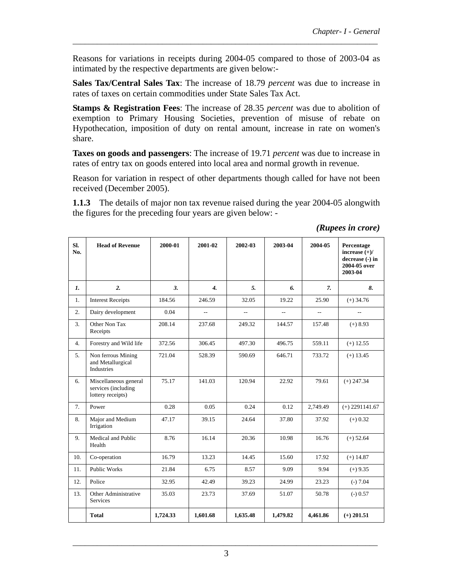Reasons for variations in receipts during 2004-05 compared to those of 2003-04 as intimated by the respective departments are given below:-

\_\_\_\_\_\_\_\_\_\_\_\_\_\_\_\_\_\_\_\_\_\_\_\_\_\_\_\_\_\_\_\_\_\_\_\_\_\_\_\_\_\_\_\_\_\_\_\_\_\_\_\_\_\_\_\_\_\_\_\_\_\_\_\_\_\_\_\_\_\_\_\_\_\_\_

**Sales Tax/Central Sales Tax**: The increase of 18.79 *percent* was due to increase in rates of taxes on certain commodities under State Sales Tax Act.

**Stamps & Registration Fees**: The increase of 28.35 *percent* was due to abolition of exemption to Primary Housing Societies, prevention of misuse of rebate on Hypothecation, imposition of duty on rental amount, increase in rate on women's share.

**Taxes on goods and passengers**: The increase of 19.71 *percent* was due to increase in rates of entry tax on goods entered into local area and normal growth in revenue.

Reason for variation in respect of other departments though called for have not been received (December 2005).

**1.1.3** The details of major non tax revenue raised during the year 2004-05 alongwith the figures for the preceding four years are given below: -

| Sl.<br>No. | <b>Head of Revenue</b>                                            | 2000-01  | 2001-02          | 2002-03                  | 2003-04        | 2004-05        | Percentage<br>increase $(+)/$<br>decrease (-) in<br>2004-05 over<br>2003-04 |
|------------|-------------------------------------------------------------------|----------|------------------|--------------------------|----------------|----------------|-----------------------------------------------------------------------------|
| 1.         | 2.                                                                | 3.       | $\overline{4}$ . | 5.                       | 6.             | $\mathbf{7}$   | 8.                                                                          |
| 1.         | <b>Interest Receipts</b>                                          | 184.56   | 246.59           | 32.05                    | 19.22          | 25.90          | $(+)$ 34.76                                                                 |
| 2.         | Dairy development                                                 | 0.04     | $\overline{a}$   | $\overline{\phantom{a}}$ | $\overline{a}$ | $\overline{a}$ | $\overline{\phantom{a}}$                                                    |
| 3.         | Other Non Tax<br>Receipts                                         | 208.14   | 237.68           | 249.32                   | 144.57         | 157.48         | $(+) 8.93$                                                                  |
| 4.         | Forestry and Wild life                                            | 372.56   | 306.45           | 497.30                   | 496.75         | 559.11         | $(+)$ 12.55                                                                 |
| 5.         | Non ferrous Mining<br>and Metallurgical<br>Industries             | 721.04   | 528.39           | 590.69                   | 646.71         | 733.72         | $(+)$ 13.45                                                                 |
| 6.         | Miscellaneous general<br>services (including<br>lottery receipts) | 75.17    | 141.03           | 120.94                   | 22.92          | 79.61          | $(+)$ 247.34                                                                |
| 7.         | Power                                                             | 0.28     | 0.05             | 0.24                     | 0.12           | 2,749.49       | $(+)$ 2291141.67                                                            |
| 8.         | Major and Medium<br>Irrigation                                    | 47.17    | 39.15            | 24.64                    | 37.80          | 37.92          | $(+) 0.32$                                                                  |
| 9.         | Medical and Public<br>Health                                      | 8.76     | 16.14            | 20.36                    | 10.98          | 16.76          | $(+) 52.64$                                                                 |
| 10.        | Co-operation                                                      | 16.79    | 13.23            | 14.45                    | 15.60          | 17.92          | $(+)$ 14.87                                                                 |
| 11.        | <b>Public Works</b>                                               | 21.84    | 6.75             | 8.57                     | 9.09           | 9.94           | $(+)$ 9.35                                                                  |
| 12.        | Police                                                            | 32.95    | 42.49            | 39.23                    | 24.99          | 23.23          | $(-) 7.04$                                                                  |
| 13.        | Other Administrative<br>Services                                  | 35.03    | 23.73            | 37.69                    | 51.07          | 50.78          | $(-) 0.57$                                                                  |
|            | <b>Total</b>                                                      | 1,724.33 | 1,601.68         | 1,635.48                 | 1,479.82       | 4,461.86       | $(+)$ 201.51                                                                |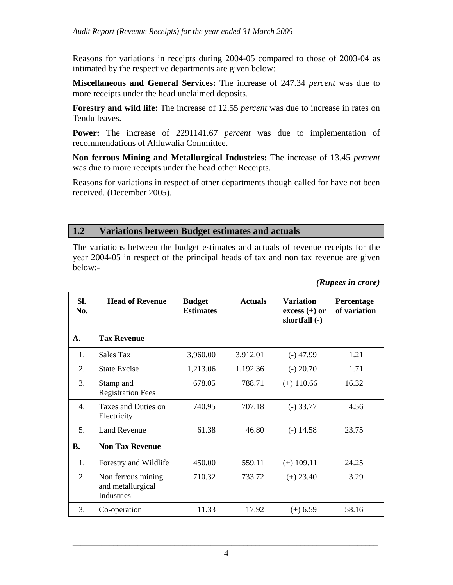Reasons for variations in receipts during 2004-05 compared to those of 2003-04 as intimated by the respective departments are given below:

\_\_\_\_\_\_\_\_\_\_\_\_\_\_\_\_\_\_\_\_\_\_\_\_\_\_\_\_\_\_\_\_\_\_\_\_\_\_\_\_\_\_\_\_\_\_\_\_\_\_\_\_\_\_\_\_\_\_\_\_\_\_\_\_\_\_\_\_\_\_\_\_\_\_\_

**Miscellaneous and General Services:** The increase of 247.34 *percent* was due to more receipts under the head unclaimed deposits.

**Forestry and wild life:** The increase of 12.55 *percent* was due to increase in rates on Tendu leaves.

**Power:** The increase of 2291141.67 *percent* was due to implementation of recommendations of Ahluwalia Committee.

**Non ferrous Mining and Metallurgical Industries:** The increase of 13.45 *percent* was due to more receipts under the head other Receipts.

Reasons for variations in respect of other departments though called for have not been received. (December 2005).

## **1.2 Variations between Budget estimates and actuals**

The variations between the budget estimates and actuals of revenue receipts for the year 2004-05 in respect of the principal heads of tax and non tax revenue are given below:-

| Sl.<br>No. | <b>Head of Revenue</b>                                | <b>Budget</b><br><b>Estimates</b> | <b>Actuals</b> | <b>Variation</b><br>$excess (+)$ or<br>shortfall (-) | Percentage<br>of variation |
|------------|-------------------------------------------------------|-----------------------------------|----------------|------------------------------------------------------|----------------------------|
| A.         | <b>Tax Revenue</b>                                    |                                   |                |                                                      |                            |
| 1.         | Sales Tax                                             | 3,960.00                          | 3,912.01       | $(-)$ 47.99                                          | 1.21                       |
| 2.         | <b>State Excise</b>                                   | 1,213.06                          | 1,192.36       | $(-) 20.70$                                          | 1.71                       |
| 3.         | Stamp and<br><b>Registration Fees</b>                 | 678.05                            | 788.71         | $(+)$ 110.66                                         | 16.32                      |
| 4.         | Taxes and Duties on<br>Electricity                    | 740.95                            | 707.18         | $(-)$ 33.77                                          | 4.56                       |
| 5.         | <b>Land Revenue</b>                                   | 61.38                             | 46.80          | $(-)$ 14.58                                          | 23.75                      |
| <b>B.</b>  | <b>Non Tax Revenue</b>                                |                                   |                |                                                      |                            |
| 1.         | Forestry and Wildlife                                 | 450.00                            | 559.11         | $(+)$ 109.11                                         | 24.25                      |
| 2.         | Non ferrous mining<br>and metallurgical<br>Industries | 710.32                            | 733.72         | $(+) 23.40$                                          | 3.29                       |
| 3.         | Co-operation                                          | 11.33                             | 17.92          | $(+) 6.59$                                           | 58.16                      |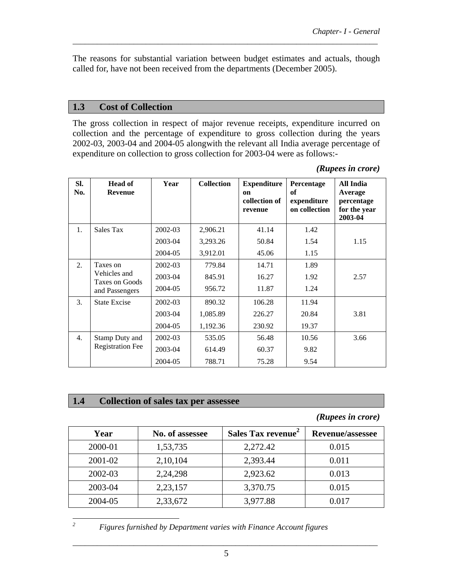The reasons for substantial variation between budget estimates and actuals, though called for, have not been received from the departments (December 2005).

\_\_\_\_\_\_\_\_\_\_\_\_\_\_\_\_\_\_\_\_\_\_\_\_\_\_\_\_\_\_\_\_\_\_\_\_\_\_\_\_\_\_\_\_\_\_\_\_\_\_\_\_\_\_\_\_\_\_\_\_\_\_\_\_\_\_\_\_\_\_\_\_\_\_\_

## **1.3 Cost of Collection**

The gross collection in respect of major revenue receipts, expenditure incurred on collection and the percentage of expenditure to gross collection during the years 2002-03, 2003-04 and 2004-05 alongwith the relevant all India average percentage of expenditure on collection to gross collection for 2003-04 were as follows:-

| (Rupees in crore) |  |
|-------------------|--|
|                   |  |

| SI.<br>No. | <b>Head of</b><br><b>Revenue</b> | Year        | <b>Collection</b> | <b>Expenditure</b><br><sub>on</sub><br>collection of<br>revenue | Percentage<br>of<br>expenditure<br>on collection | All India<br>Average<br>percentage<br>for the year<br>2003-04 |
|------------|----------------------------------|-------------|-------------------|-----------------------------------------------------------------|--------------------------------------------------|---------------------------------------------------------------|
| 1.         | Sales Tax                        | 2002-03     | 2,906.21          | 41.14                                                           | 1.42                                             |                                                               |
|            |                                  | 2003-04     | 3,293.26          | 50.84                                                           | 1.54                                             | 1.15                                                          |
|            |                                  | 2004-05     | 3,912.01          | 45.06                                                           | 1.15                                             |                                                               |
| 2.         | Taxes on                         | $2002 - 03$ | 779.84            | 14.71                                                           | 1.89                                             |                                                               |
|            | Vehicles and<br>Taxes on Goods   | 2003-04     | 845.91            | 16.27                                                           | 1.92                                             | 2.57                                                          |
|            | and Passengers                   | 2004-05     | 956.72            | 11.87                                                           | 1.24                                             |                                                               |
| 3.         | <b>State Excise</b>              | 2002-03     | 890.32            | 106.28                                                          | 11.94                                            |                                                               |
|            |                                  | 2003-04     | 1,085.89          | 226.27                                                          | 20.84                                            | 3.81                                                          |
|            |                                  | 2004-05     | 1,192.36          | 230.92                                                          | 19.37                                            |                                                               |
| 4.         | Stamp Duty and                   | 2002-03     | 535.05            | 56.48                                                           | 10.56                                            | 3.66                                                          |
|            | <b>Registration Fee</b>          | 2003-04     | 614.49            | 60.37                                                           | 9.82                                             |                                                               |
|            |                                  | 2004-05     | 788.71            | 75.28                                                           | 9.54                                             |                                                               |

### **1.4 Collection of sales tax per assessee**

*(Rupees in crore)* 

| Year    | No. of assessee | Sales Tax revenue <sup>2</sup> | <b>Revenue/assessee</b> |
|---------|-----------------|--------------------------------|-------------------------|
| 2000-01 | 1,53,735        | 2,272.42                       | 0.015                   |
| 2001-02 | 2,10,104        | 2,393.44                       | 0.011                   |
| 2002-03 | 2,24,298        | 2,923.62                       | 0.013                   |
| 2003-04 | 2,23,157        | 3,370.75                       | 0.015                   |
| 2004-05 | 2,33,672        | 3,977.88                       | 0.017                   |

*2*

 *Figures furnished by Department varies with Finance Account figures*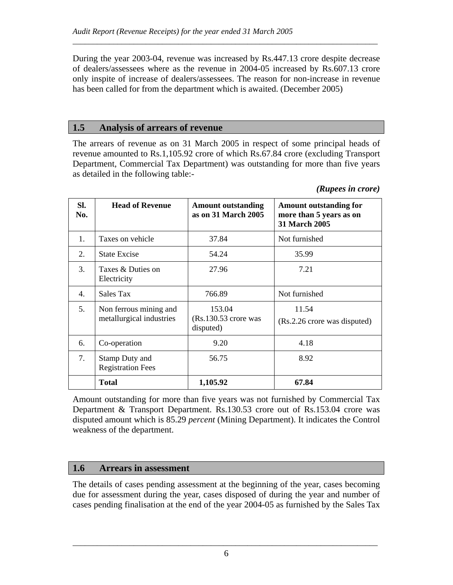During the year 2003-04, revenue was increased by Rs.447.13 crore despite decrease of dealers/assessees where as the revenue in 2004-05 increased by Rs.607.13 crore only inspite of increase of dealers/assessees. The reason for non-increase in revenue has been called for from the department which is awaited. (December 2005)

\_\_\_\_\_\_\_\_\_\_\_\_\_\_\_\_\_\_\_\_\_\_\_\_\_\_\_\_\_\_\_\_\_\_\_\_\_\_\_\_\_\_\_\_\_\_\_\_\_\_\_\_\_\_\_\_\_\_\_\_\_\_\_\_\_\_\_\_\_\_\_\_\_\_\_

## **1.5 Analysis of arrears of revenue**

The arrears of revenue as on 31 March 2005 in respect of some principal heads of revenue amounted to Rs.1,105.92 crore of which Rs.67.84 crore (excluding Transport Department, Commercial Tax Department) was outstanding for more than five years as detailed in the following table:-

### *(Rupees in crore)*

| SI.<br>No. | <b>Head of Revenue</b>                             | <b>Amount outstanding</b><br>as on 31 March 2005 | <b>Amount outstanding for</b><br>more than 5 years as on<br><b>31 March 2005</b> |
|------------|----------------------------------------------------|--------------------------------------------------|----------------------------------------------------------------------------------|
| 1.         | Taxes on vehicle                                   | 37.84<br>Not furnished                           |                                                                                  |
| 2.         | <b>State Excise</b>                                | 54.24                                            |                                                                                  |
| 3.         | Taxes & Duties on<br>Electricity                   | 27.96                                            | 7.21                                                                             |
| 4.         | Sales Tax                                          | 766.89                                           | Not furnished                                                                    |
| 5.         | Non ferrous mining and<br>metallurgical industries | 153.04<br>$(Rs.130.53$ crore was<br>disputed)    | 11.54<br>(Rs.2.26 crore was disputed)                                            |
| 6.         | Co-operation                                       | 9.20                                             | 4.18                                                                             |
| 7.         | Stamp Duty and<br><b>Registration Fees</b>         | 56.75                                            | 8.92                                                                             |
|            | <b>Total</b>                                       | 1,105.92                                         | 67.84                                                                            |

Amount outstanding for more than five years was not furnished by Commercial Tax Department & Transport Department. Rs.130.53 crore out of Rs.153.04 crore was disputed amount which is 85.29 *percent* (Mining Department). It indicates the Control weakness of the department.

## **1.6 Arrears in assessment**

The details of cases pending assessment at the beginning of the year, cases becoming due for assessment during the year, cases disposed of during the year and number of cases pending finalisation at the end of the year 2004-05 as furnished by the Sales Tax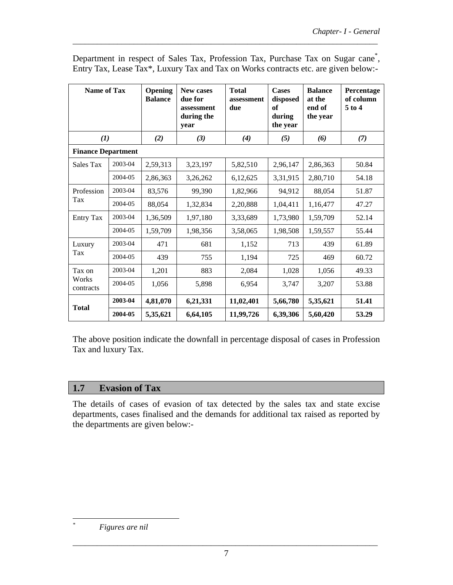| <b>Name of Tax</b>        |         | Opening<br><b>Balance</b> | <b>New cases</b><br>due for<br>assessment<br>during the<br>year | <b>Total</b><br>assessment<br>due | <b>Cases</b><br>disposed<br>of<br>during<br>the year | <b>Balance</b><br>at the<br>end of<br>the year | Percentage<br>of column<br>$5$ to $4$ |
|---------------------------|---------|---------------------------|-----------------------------------------------------------------|-----------------------------------|------------------------------------------------------|------------------------------------------------|---------------------------------------|
| (1)                       |         | (2)                       | (3)                                                             | (4)                               | (5)                                                  | (6)                                            | (7)                                   |
| <b>Finance Department</b> |         |                           |                                                                 |                                   |                                                      |                                                |                                       |
| Sales Tax                 | 2003-04 | 2,59,313                  | 3,23,197                                                        | 5,82,510                          | 2,96,147                                             | 2,86,363                                       | 50.84                                 |
|                           | 2004-05 | 2,86,363                  | 3,26,262                                                        | 6,12,625                          | 3,31,915                                             | 2,80,710                                       | 54.18                                 |
| Profession<br>Tax         | 2003-04 | 83,576                    | 99,390                                                          | 1,82,966                          | 94,912                                               | 88,054                                         | 51.87                                 |
|                           | 2004-05 | 88,054                    | 1,32,834                                                        | 2,20,888                          | 1,04,411                                             | 1,16,477                                       | 47.27                                 |
| <b>Entry Tax</b>          | 2003-04 | 1,36,509                  | 1,97,180                                                        | 3,33,689                          | 1,73,980                                             | 1,59,709                                       | 52.14                                 |
|                           | 2004-05 | 1,59,709                  | 1,98,356                                                        | 3,58,065                          | 1,98,508                                             | 1,59,557                                       | 55.44                                 |
| Luxury                    | 2003-04 | 471                       | 681                                                             | 1,152                             | 713                                                  | 439                                            | 61.89                                 |
| Tax                       | 2004-05 | 439                       | 755                                                             | 1,194                             | 725                                                  | 469                                            | 60.72                                 |
| Tax on                    | 2003-04 | 1,201                     | 883                                                             | 2,084                             | 1,028                                                | 1,056                                          | 49.33                                 |
| Works<br>contracts        | 2004-05 | 1,056                     | 5,898                                                           | 6,954                             | 3,747                                                | 3,207                                          | 53.88                                 |
| <b>Total</b>              | 2003-04 | 4,81,070                  | 6,21,331                                                        | 11,02,401                         | 5,66,780                                             | 5,35,621                                       | 51.41                                 |
|                           | 2004-05 | 5,35,621                  | 6,64,105                                                        | 11,99,726                         | 6,39,306                                             | 5,60,420                                       | 53.29                                 |

Department in respect of Sales Tax, Profession Tax, Purchase Tax on Sugar cane<sup>\*</sup>, Entry Tax, Lease Tax\*, Luxury Tax and Tax on Works contracts etc. are given below:-

\_\_\_\_\_\_\_\_\_\_\_\_\_\_\_\_\_\_\_\_\_\_\_\_\_\_\_\_\_\_\_\_\_\_\_\_\_\_\_\_\_\_\_\_\_\_\_\_\_\_\_\_\_\_\_\_\_\_\_\_\_\_\_\_\_\_\_\_\_\_\_\_\_\_\_

The above position indicate the downfall in percentage disposal of cases in Profession Tax and luxury Tax.

# **1.7 Evasion of Tax**

The details of cases of evasion of tax detected by the sales tax and state excise departments, cases finalised and the demands for additional tax raised as reported by the departments are given below:-

 *Figures are nil*

 $\overline{a}$ *\**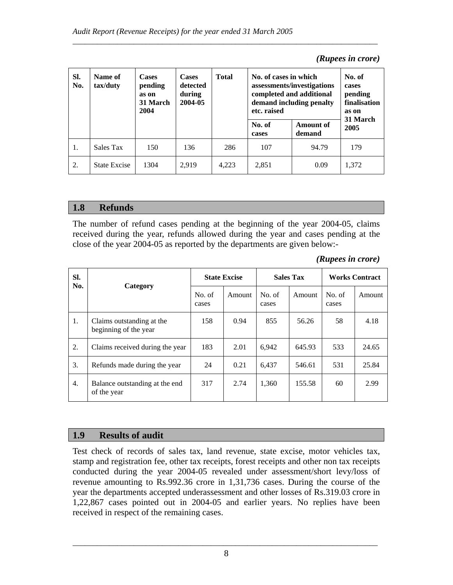| SI.<br>No. | Name of<br>tax/duty | <b>Cases</b><br>pending<br>as on<br>31 March<br>2004 | <b>Cases</b><br>detected<br>during<br>2004-05 | <b>Total</b> | No. of cases in which<br>etc. raised | assessments/investigations<br>completed and additional<br>demand including penalty | No. of<br>cases<br>pending<br>finalisation<br>as on<br>31 March |
|------------|---------------------|------------------------------------------------------|-----------------------------------------------|--------------|--------------------------------------|------------------------------------------------------------------------------------|-----------------------------------------------------------------|
|            |                     |                                                      |                                               |              | No. of<br>cases                      | Amount of<br>demand                                                                | 2005                                                            |
| 1.         | Sales Tax           | 150                                                  | 136                                           | 286          | 107                                  | 94.79                                                                              | 179                                                             |
| 2.         | <b>State Excise</b> | 1304                                                 | 2.919                                         | 4,223        | 2,851                                | 0.09                                                                               | 1.372                                                           |

\_\_\_\_\_\_\_\_\_\_\_\_\_\_\_\_\_\_\_\_\_\_\_\_\_\_\_\_\_\_\_\_\_\_\_\_\_\_\_\_\_\_\_\_\_\_\_\_\_\_\_\_\_\_\_\_\_\_\_\_\_\_\_\_\_\_\_\_\_\_\_\_\_\_\_

#### *(Rupees in crore)*

## **1.8 Refunds**

The number of refund cases pending at the beginning of the year 2004-05, claims received during the year, refunds allowed during the year and cases pending at the close of the year 2004-05 as reported by the departments are given below:-

| (Rupees in crore) |  |  |
|-------------------|--|--|
|-------------------|--|--|

| SI.<br>No.       | Category                                           | <b>State Excise</b> |        | <b>Sales Tax</b> |        | <b>Works Contract</b> |        |
|------------------|----------------------------------------------------|---------------------|--------|------------------|--------|-----------------------|--------|
|                  |                                                    | No. of<br>cases     | Amount | No. of<br>cases  | Amount | No. of<br>cases       | Amount |
| 1.               | Claims outstanding at the<br>beginning of the year | 158                 | 0.94   | 855              | 56.26  | 58                    | 4.18   |
| 2.               | Claims received during the year                    | 183                 | 2.01   | 6,942            | 645.93 | 533                   | 24.65  |
| 3.               | Refunds made during the year                       | 24                  | 0.21   | 6,437            | 546.61 | 531                   | 25.84  |
| $\overline{4}$ . | Balance outstanding at the end<br>of the year      | 317                 | 2.74   | 1.360            | 155.58 | 60                    | 2.99   |

## **1.9 Results of audit**

Test check of records of sales tax, land revenue, state excise, motor vehicles tax, stamp and registration fee, other tax receipts, forest receipts and other non tax receipts conducted during the year 2004-05 revealed under assessment/short levy/loss of revenue amounting to Rs.992.36 crore in 1,31,736 cases. During the course of the year the departments accepted underassessment and other losses of Rs.319.03 crore in 1,22,867 cases pointed out in 2004-05 and earlier years. No replies have been received in respect of the remaining cases.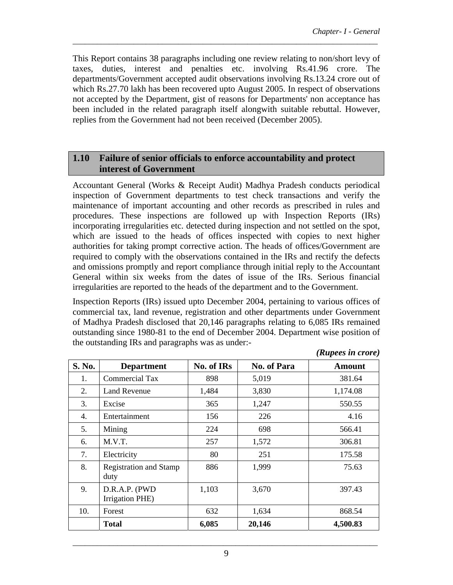This Report contains 38 paragraphs including one review relating to non/short levy of taxes, duties, interest and penalties etc. involving Rs.41.96 crore. The departments/Government accepted audit observations involving Rs.13.24 crore out of which Rs.27.70 lakh has been recovered upto August 2005. In respect of observations not accepted by the Department, gist of reasons for Departments' non acceptance has been included in the related paragraph itself alongwith suitable rebuttal. However, replies from the Government had not been received (December 2005).

\_\_\_\_\_\_\_\_\_\_\_\_\_\_\_\_\_\_\_\_\_\_\_\_\_\_\_\_\_\_\_\_\_\_\_\_\_\_\_\_\_\_\_\_\_\_\_\_\_\_\_\_\_\_\_\_\_\_\_\_\_\_\_\_\_\_\_\_\_\_\_\_\_\_\_

## **1.10 Failure of senior officials to enforce accountability and protect interest of Government**

Accountant General (Works & Receipt Audit) Madhya Pradesh conducts periodical inspection of Government departments to test check transactions and verify the maintenance of important accounting and other records as prescribed in rules and procedures. These inspections are followed up with Inspection Reports (IRs) incorporating irregularities etc. detected during inspection and not settled on the spot, which are issued to the heads of offices inspected with copies to next higher authorities for taking prompt corrective action. The heads of offices/Government are required to comply with the observations contained in the IRs and rectify the defects and omissions promptly and report compliance through initial reply to the Accountant General within six weeks from the dates of issue of the IRs. Serious financial irregularities are reported to the heads of the department and to the Government.

Inspection Reports (IRs) issued upto December 2004, pertaining to various offices of commercial tax, land revenue, registration and other departments under Government of Madhya Pradesh disclosed that 20,146 paragraphs relating to 6,085 IRs remained outstanding since 1980-81 to the end of December 2004. Department wise position of the outstanding IRs and paragraphs was as under:-

| S. No. | <b>Department</b>                     | No. of IRs | No. of Para | <b>Amount</b> |
|--------|---------------------------------------|------------|-------------|---------------|
| 1.     | <b>Commercial Tax</b>                 | 898        | 5,019       | 381.64        |
| 2.     | <b>Land Revenue</b>                   | 1,484      | 3,830       | 1,174.08      |
| 3.     | Excise                                | 365        | 1,247       | 550.55        |
| 4.     | Entertainment                         | 156        | 226         | 4.16          |
| 5.     | Mining                                | 224        | 698         | 566.41        |
| 6.     | M.V.T.                                | 257        | 1,572       | 306.81        |
| 7.     | Electricity                           | 80         | 251         | 175.58        |
| 8.     | <b>Registration and Stamp</b><br>duty | 886        | 1,999       | 75.63         |
| 9.     | D.R.A.P. (PWD<br>Irrigation PHE)      | 1,103      | 3,670       | 397.43        |
| 10.    | Forest                                | 632        | 1,634       | 868.54        |
|        | <b>Total</b>                          | 6,085      | 20,146      | 4,500.83      |